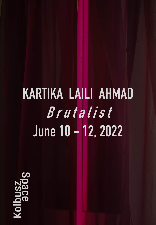## KARTIKA LAILI AHMAD Brutalist June 10 - 12, 2022

 $\frac{1}{10}$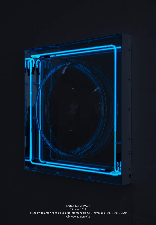

Kartika Laili AHMAD *Glimmer* 2022 Perspex with argon filled glass, plug into standard GPO, dimmable. 100 x 100 x 25cm A\$4,000 Edition of 2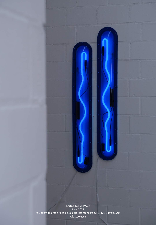Kartika Laili AHMAD *Klein* 2022 Perspex with argon filled glass, plug into standard GPO, 126 x 19 x 6.5cm A\$2,100 each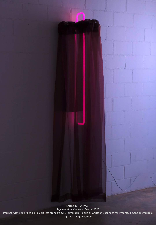Kartika Laili AHMAD *Rejuvenation, Pleasure, Delight* 2022 Perspex with neon filled glass, plug into standard GPO, dimmable. Fabric by Christian Zuzunaga for Kvadrat, dimensions variable A\$3,500 unique edition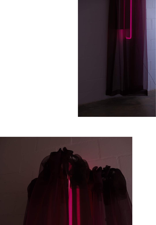

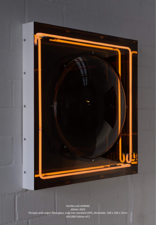

Kartika Laili AHMAD *Glisten* 2022 Perspex with argon filled glass, plug into standard GPO, dimmable. 100 x 100 x 25cm **C. P. Waller** A\$4,000 Edition of 2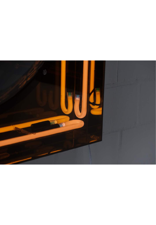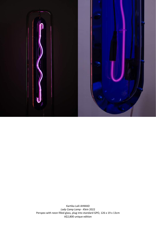

Kartika Laili AHMAD *Lady Camp Lamp - Klein* 2022 Perspex with neon filled glass, plug into standard GPO, 126 x 19 x 13cm A\$2,800 unique edition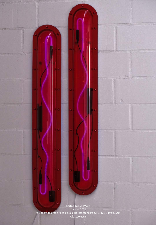Kartika Laili AHMAD *Crimson* 2022 Perspex with argon filled glass, plug into standard GPO, 126 x 19 x 6.5cm A\$2,100 each

 $\mathbb{R}$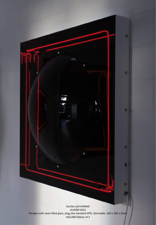Kartika Laili AHMAD *GLOOM* 2022 Perspex with neon filled glass, plug into standard GPO, dimmable. 100 x 100 x 25cm A\$4,000 Edition of 2

ò

 $\langle \nabla f \rangle$ 

ø

₿

 $\bullet$ 

 $\bullet$ 

 $\bullet$ 

 $\bullet$ 

 $\epsilon$ 

o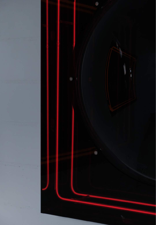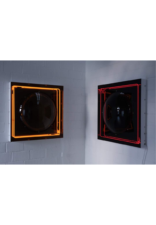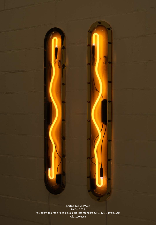Kartika Laili AHMAD *Patina* 2022 Perspex with argon filled glass, plug into standard GPO, 126 x 19 x 6.5cm A\$2,100 each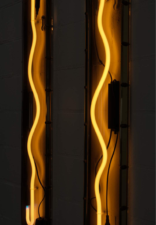